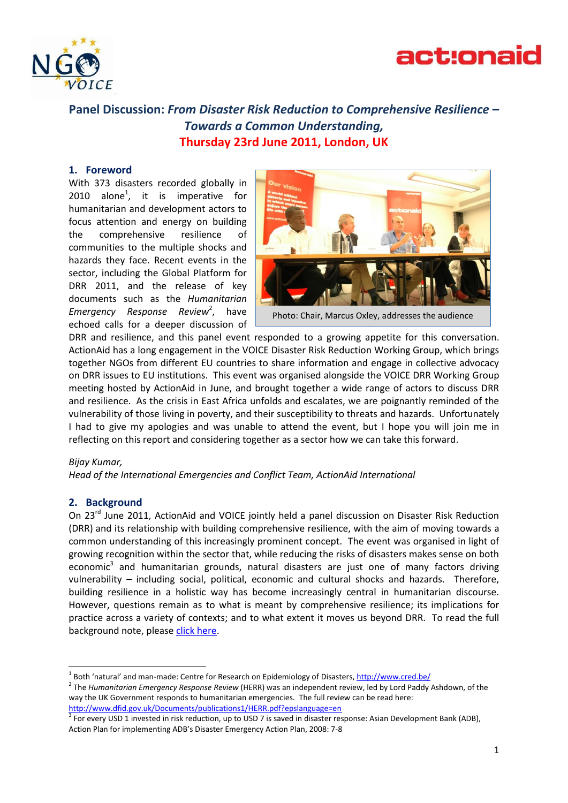



# **Panel Discussion:** *From Disaster Risk Reduction to Comprehensive Resilience – Towards a Common Understanding,* **Thursday 23rd June 2011, London, UK**

#### **1. Foreword**

With 373 disasters recorded globally in 2010 alone<sup>1</sup>, it is imperative for humanitarian and development actors to focus attention and energy on building the comprehensive resilience of communities to the multiple shocks and hazards they face. Recent events in the sector, including the Global Platform for DRR 2011, and the release of key documents such as the *Humanitarian*  Emergency Response Review<sup>2</sup>, have echoed calls for a deeper discussion of



Photo: Chair, Marcus Oxley, addresses the audience

DRR and resilience, and this panel event responded to a growing appetite for this conversation. ActionAid has a long engagement in the VOICE Disaster Risk Reduction Working Group, which brings together NGOs from different EU countries to share information and engage in collective advocacy on DRR issues to EU institutions. This event was organised alongside the VOICE DRR Working Group meeting hosted by ActionAid in June, and brought together a wide range of actors to discuss DRR and resilience. As the crisis in East Africa unfolds and escalates, we are poignantly reminded of the vulnerability of those living in poverty, and their susceptibility to threats and hazards. Unfortunately I had to give my apologies and was unable to attend the event, but I hope you will join me in reflecting on this report and considering together as a sector how we can take this forward.

#### *Bijay Kumar,*

**.** 

*Head of the International Emergencies and Conflict Team, ActionAid International*

## **2. Background**

On 23<sup>rd</sup> June 2011, ActionAid and VOICE jointly held a panel discussion on Disaster Risk Reduction (DRR) and its relationship with building comprehensive resilience, with the aim of moving towards a common understanding of this increasingly prominent concept. The event was organised in light of growing recognition within the sector that, while reducing the risks of disasters makes sense on both economic<sup>3</sup> and humanitarian grounds, natural disasters are just one of many factors driving vulnerability – including social, political, economic and cultural shocks and hazards. Therefore, building resilience in a holistic way has become increasingly central in humanitarian discourse. However, questions remain as to what is meant by comprehensive resilience; its implications for practice across a variety of contexts; and to what extent it moves us beyond DRR. To read the full background note, pleas[e click here.](https://docs.google.com/viewer?a=v&pid=explorer&chrome=true&srcid=0B4gXP6PJy10ENTBjMTkyYTMtYzU0Ny00Nzg0LTk0Y2MtNWJiNzIxNDIxNDYx&hl=en_US&authkey=COCWw5sK)

<sup>&</sup>lt;sup>1</sup> Both 'natural' and man-made: Centre for Research on Epidemiology of Disasters,<http://www.cred.be/>

<sup>2</sup> The *Humanitarian Emergency Response Review* (HERR) was an independent review, led by Lord Paddy Ashdown, of the way the UK Government responds to humanitarian emergencies. The full review can be read here: <http://www.dfid.gov.uk/Documents/publications1/HERR.pdf?epslanguage=en>

 $3$  For every USD 1 invested in risk reduction, up to USD 7 is saved in disaster response: Asian Development Bank (ADB), Action Plan for implementing ADB's Disaster Emergency Action Plan, 2008: 7-8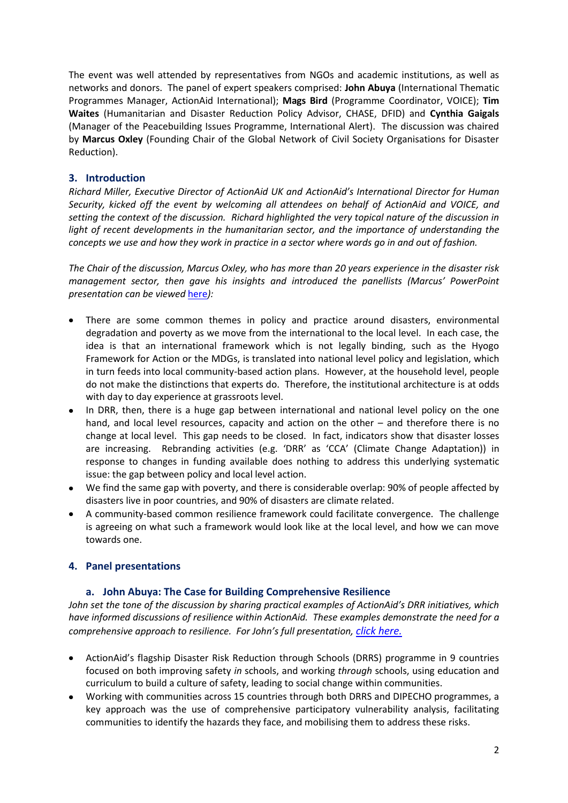The event was well attended by representatives from NGOs and academic institutions, as well as networks and donors. The panel of expert speakers comprised: **John Abuya** (International Thematic Programmes Manager, ActionAid International); **Mags Bird** (Programme Coordinator, VOICE); **Tim Waites** (Humanitarian and Disaster Reduction Policy Advisor, CHASE, DFID) and **Cynthia Gaigals** (Manager of the Peacebuilding Issues Programme, International Alert). The discussion was chaired by **Marcus Oxley** (Founding Chair of the Global Network of Civil Society Organisations for Disaster Reduction).

## **3. Introduction**

*Richard Miller, Executive Director of ActionAid UK and ActionAid's International Director for Human Security, kicked off the event by welcoming all attendees on behalf of ActionAid and VOICE, and setting the context of the discussion. Richard highlighted the very topical nature of the discussion in light of recent developments in the humanitarian sector, and the importance of understanding the concepts we use and how they work in practice in a sector where words go in and out of fashion.*

*The Chair of the discussion, Marcus Oxley, who has more than 20 years experience in the disaster risk management sector, then gave his insights and introduced the panellists (Marcus' PowerPoint presentation can be viewed* [here](https://docs.google.com/leaf?id=0B4gXP6PJy10ENDEyMTcyZGItNmYxNy00MTU4LWI1NzQtOTcyMWU4NWNjODMx&hl=en_US&authkey=CJaGq7sL)*):*

- There are some common themes in policy and practice around disasters, environmental degradation and poverty as we move from the international to the local level. In each case, the idea is that an international framework which is not legally binding, such as the Hyogo Framework for Action or the MDGs, is translated into national level policy and legislation, which in turn feeds into local community-based action plans. However, at the household level, people do not make the distinctions that experts do. Therefore, the institutional architecture is at odds with day to day experience at grassroots level.
- In DRR, then, there is a huge gap between international and national level policy on the one hand, and local level resources, capacity and action on the other – and therefore there is no change at local level. This gap needs to be closed. In fact, indicators show that disaster losses are increasing. Rebranding activities (e.g. 'DRR' as 'CCA' (Climate Change Adaptation)) in response to changes in funding available does nothing to address this underlying systematic issue: the gap between policy and local level action.
- We find the same gap with poverty, and there is considerable overlap: 90% of people affected by disasters live in poor countries, and 90% of disasters are climate related.
- A community-based common resilience framework could facilitate convergence. The challenge is agreeing on what such a framework would look like at the local level, and how we can move towards one.

## **4. Panel presentations**

## **a. John Abuya: The Case for Building Comprehensive Resilience**

*John set the tone of the discussion by sharing practical examples of ActionAid's DRR initiatives, which have informed discussions of resilience within ActionAid. These examples demonstrate the need for a comprehensive approach to resilience. For John's full presentation, [click here.](https://docs.google.com/present/edit?id=0AYgXP6PJy10EZGdkNXZ6c3NfNmRuMnFkNGZw&hl=en_US&authkey=CK6in-oM)*

- ActionAid's flagship Disaster Risk Reduction through Schools (DRRS) programme in 9 countries focused on both improving safety *in* schools, and working *through* schools, using education and curriculum to build a culture of safety, leading to social change within communities.
- Working with communities across 15 countries through both DRRS and DIPECHO programmes, a key approach was the use of comprehensive participatory vulnerability analysis, facilitating communities to identify the hazards they face, and mobilising them to address these risks.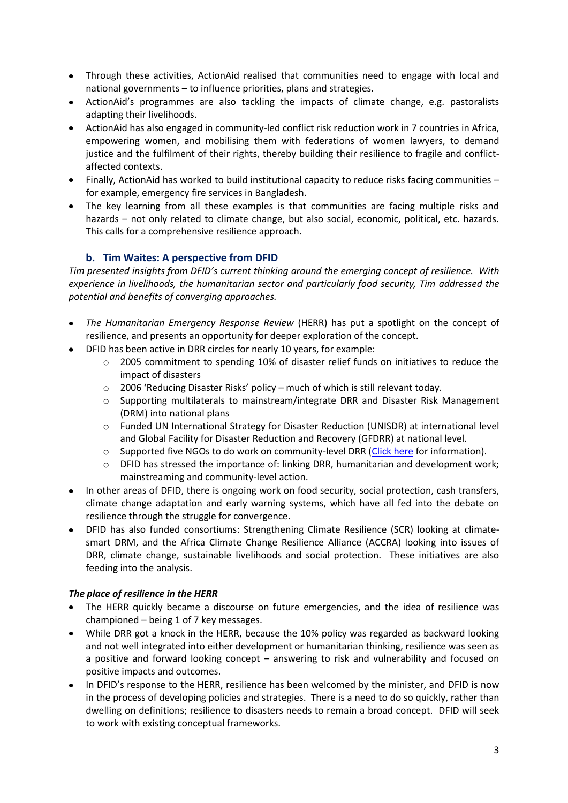- Through these activities, ActionAid realised that communities need to engage with local and national governments – to influence priorities, plans and strategies.
- ActionAid's programmes are also tackling the impacts of climate change, e.g. pastoralists adapting their livelihoods.
- ActionAid has also engaged in community-led conflict risk reduction work in 7 countries in Africa, empowering women, and mobilising them with federations of women lawyers, to demand justice and the fulfilment of their rights, thereby building their resilience to fragile and conflictaffected contexts.
- Finally, ActionAid has worked to build institutional capacity to reduce risks facing communities for example, emergency fire services in Bangladesh.
- The key learning from all these examples is that communities are facing multiple risks and hazards – not only related to climate change, but also social, economic, political, etc. hazards. This calls for a comprehensive resilience approach.

# **b. Tim Waites: A perspective from DFID**

*Tim presented insights from DFID's current thinking around the emerging concept of resilience. With experience in livelihoods, the humanitarian sector and particularly food security, Tim addressed the potential and benefits of converging approaches.*

- *The Humanitarian Emergency Response Review* (HERR) has put a spotlight on the concept of resilience, and presents an opportunity for deeper exploration of the concept.
- DFID has been active in DRR circles for nearly 10 years, for example:
	- o 2005 commitment to spending 10% of disaster relief funds on initiatives to reduce the impact of disasters
	- o 2006 'Reducing Disaster Risks' policy much of which is still relevant today.
	- o Supporting multilaterals to mainstream/integrate DRR and Disaster Risk Management (DRM) into national plans
	- o Funded UN International Strategy for Disaster Reduction (UNISDR) at international level and Global Facility for Disaster Reduction and Recovery (GFDRR) at national level.
	- $\circ$  Supported five NGOs to do work on community-level DRR [\(Click here](http://community.eldis.org/.59e3c45b/) for information).
	- $\circ$  DFID has stressed the importance of: linking DRR, humanitarian and development work; mainstreaming and community-level action.
- In other areas of DFID, there is ongoing work on food security, social protection, cash transfers, climate change adaptation and early warning systems, which have all fed into the debate on resilience through the struggle for convergence.
- DFID has also funded consortiums: Strengthening Climate Resilience (SCR) looking at climatesmart DRM, and the Africa Climate Change Resilience Alliance (ACCRA) looking into issues of DRR, climate change, sustainable livelihoods and social protection. These initiatives are also feeding into the analysis.

## *The place of resilience in the HERR*

- The HERR quickly became a discourse on future emergencies, and the idea of resilience was championed – being 1 of 7 key messages.
- While DRR got a knock in the HERR, because the 10% policy was regarded as backward looking and not well integrated into either development or humanitarian thinking, resilience was seen as a positive and forward looking concept – answering to risk and vulnerability and focused on positive impacts and outcomes.
- In DFID's response to the HERR, resilience has been welcomed by the minister, and DFID is now in the process of developing policies and strategies. There is a need to do so quickly, rather than dwelling on definitions; resilience to disasters needs to remain a broad concept. DFID will seek to work with existing conceptual frameworks.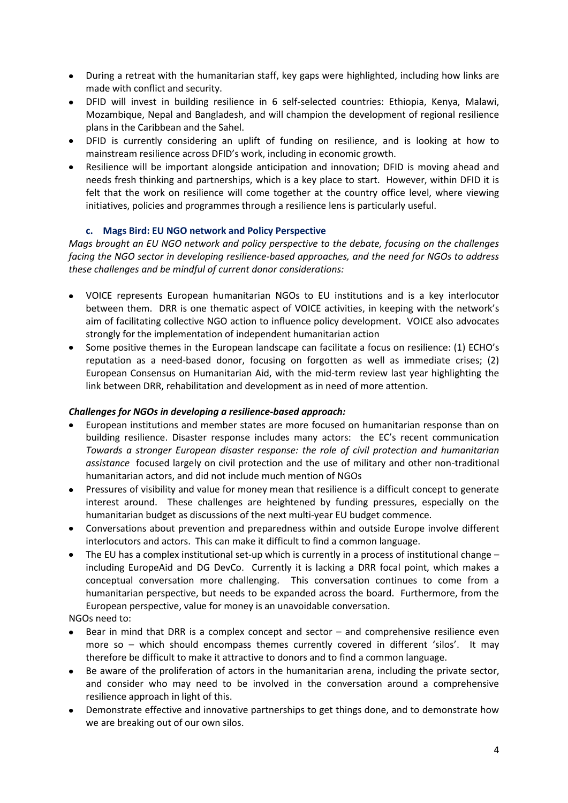- During a retreat with the humanitarian staff, key gaps were highlighted, including how links are made with conflict and security.
- DFID will invest in building resilience in 6 self-selected countries: Ethiopia, Kenya, Malawi, Mozambique, Nepal and Bangladesh, and will champion the development of regional resilience plans in the Caribbean and the Sahel.
- DFID is currently considering an uplift of funding on resilience, and is looking at how to mainstream resilience across DFID's work, including in economic growth.
- Resilience will be important alongside anticipation and innovation; DFID is moving ahead and needs fresh thinking and partnerships, which is a key place to start. However, within DFID it is felt that the work on resilience will come together at the country office level, where viewing initiatives, policies and programmes through a resilience lens is particularly useful.

## **c. Mags Bird: EU NGO network and Policy Perspective**

*Mags brought an EU NGO network and policy perspective to the debate, focusing on the challenges facing the NGO sector in developing resilience-based approaches, and the need for NGOs to address these challenges and be mindful of current donor considerations:* 

- VOICE represents European humanitarian NGOs to EU institutions and is a key interlocutor between them. DRR is one thematic aspect of VOICE activities, in keeping with the network's aim of facilitating collective NGO action to influence policy development. VOICE also advocates strongly for the implementation of independent humanitarian action
- Some positive themes in the European landscape can facilitate a focus on resilience: (1) ECHO's reputation as a need-based donor, focusing on forgotten as well as immediate crises; (2) European Consensus on Humanitarian Aid, with the mid-term review last year highlighting the link between DRR, rehabilitation and development as in need of more attention.

#### *Challenges for NGOs in developing a resilience-based approach:*

- European institutions and member states are more focused on humanitarian response than on building resilience. Disaster response includes many actors: the EC's recent communication *Towards a stronger European disaster response: the role of civil protection and humanitarian assistance* focused largely on civil protection and the use of military and other non-traditional humanitarian actors, and did not include much mention of NGOs
- Pressures of visibility and value for money mean that resilience is a difficult concept to generate interest around. These challenges are heightened by funding pressures, especially on the humanitarian budget as discussions of the next multi-year EU budget commence.
- Conversations about prevention and preparedness within and outside Europe involve different interlocutors and actors. This can make it difficult to find a common language.
- The EU has a complex institutional set-up which is currently in a process of institutional change including EuropeAid and DG DevCo. Currently it is lacking a DRR focal point, which makes a conceptual conversation more challenging. This conversation continues to come from a humanitarian perspective, but needs to be expanded across the board. Furthermore, from the European perspective, value for money is an unavoidable conversation.

#### NGOs need to:

- Bear in mind that DRR is a complex concept and sector and comprehensive resilience even more so – which should encompass themes currently covered in different 'silos'. It may therefore be difficult to make it attractive to donors and to find a common language.
- Be aware of the proliferation of actors in the humanitarian arena, including the private sector, and consider who may need to be involved in the conversation around a comprehensive resilience approach in light of this.
- Demonstrate effective and innovative partnerships to get things done, and to demonstrate how we are breaking out of our own silos.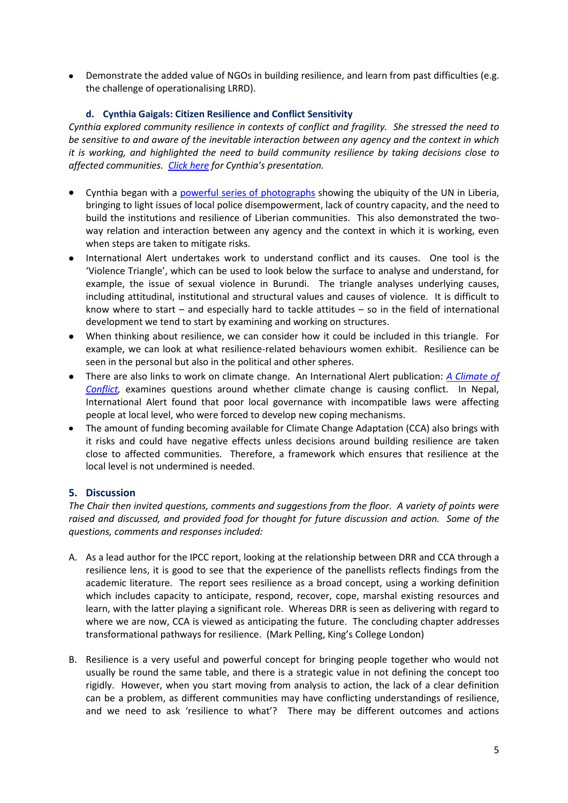Demonstrate the added value of NGOs in building resilience, and learn from past difficulties (e.g. the challenge of operationalising LRRD).

## **d. Cynthia Gaigals: Citizen Resilience and Conflict Sensitivity**

*Cynthia explored community resilience in contexts of conflict and fragility. She stressed the need to be sensitive to and aware of the inevitable interaction between any agency and the context in which it is working, and highlighted the need to build community resilience by taking decisions close to affected communities. [Click here](https://docs.google.com/present/edit?id=0AYgXP6PJy10EZGdkNXZ6c3NfMzVmaGg1ZmNzbQ&hl=en_US&authkey=CP-B1dYH) for Cynthia's presentation.* 

- Cynthia began with a [powerful series of photographs](https://docs.google.com/present/edit?id=0AYgXP6PJy10EZGdkNXZ6c3NfMjVneHozczlyaw&hl=en_US&authkey=CLiR7IAF) showing the ubiquity of the UN in Liberia, bringing to light issues of local police disempowerment, lack of country capacity, and the need to build the institutions and resilience of Liberian communities. This also demonstrated the twoway relation and interaction between any agency and the context in which it is working, even when steps are taken to mitigate risks.
- International Alert undertakes work to understand conflict and its causes. One tool is the 'Violence Triangle', which can be used to look below the surface to analyse and understand, for example, the issue of sexual violence in Burundi. The triangle analyses underlying causes, including attitudinal, institutional and structural values and causes of violence. It is difficult to know where to start – and especially hard to tackle attitudes – so in the field of international development we tend to start by examining and working on structures.
- When thinking about resilience, we can consider how it could be included in this triangle. For example, we can look at what resilience-related behaviours women exhibit. Resilience can be seen in the personal but also in the political and other spheres.
- There are also links to work on climate change. An International Alert publication: *[A Climate of](http://www.international-alert.org/resources/publications/climate-conflict)*  **Conflict**, examines questions around whether climate change is causing conflict. In Nepal, International Alert found that poor local governance with incompatible laws were affecting people at local level, who were forced to develop new coping mechanisms.
- The amount of funding becoming available for Climate Change Adaptation (CCA) also brings with it risks and could have negative effects unless decisions around building resilience are taken close to affected communities. Therefore, a framework which ensures that resilience at the local level is not undermined is needed.

## **5. Discussion**

*The Chair then invited questions, comments and suggestions from the floor. A variety of points were raised and discussed, and provided food for thought for future discussion and action. Some of the questions, comments and responses included:*

- A. As a lead author for the IPCC report, looking at the relationship between DRR and CCA through a resilience lens, it is good to see that the experience of the panellists reflects findings from the academic literature. The report sees resilience as a broad concept, using a working definition which includes capacity to anticipate, respond, recover, cope, marshal existing resources and learn, with the latter playing a significant role. Whereas DRR is seen as delivering with regard to where we are now, CCA is viewed as anticipating the future. The concluding chapter addresses transformational pathways for resilience. (Mark Pelling, King's College London)
- B. Resilience is a very useful and powerful concept for bringing people together who would not usually be round the same table, and there is a strategic value in not defining the concept too rigidly. However, when you start moving from analysis to action, the lack of a clear definition can be a problem, as different communities may have conflicting understandings of resilience, and we need to ask 'resilience to what'? There may be different outcomes and actions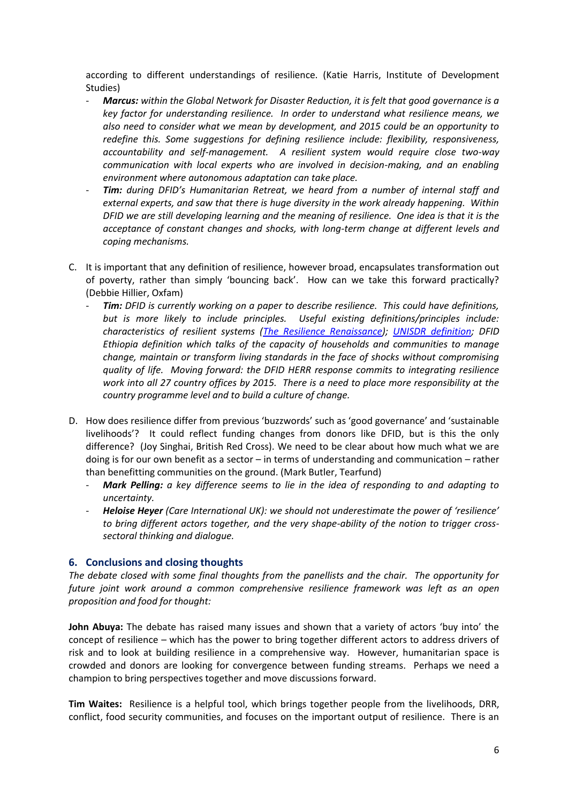according to different understandings of resilience. (Katie Harris, Institute of Development Studies)

- *Marcus: within the Global Network for Disaster Reduction, it is felt that good governance is a key factor for understanding resilience. In order to understand what resilience means, we also need to consider what we mean by development, and 2015 could be an opportunity to redefine this. Some suggestions for defining resilience include: flexibility, responsiveness, accountability and self-management. A resilient system would require close two-way communication with local experts who are involved in decision-making, and an enabling environment where autonomous adaptation can take place.*
- *Tim: during DFID's Humanitarian Retreat, we heard from a number of internal staff and external experts, and saw that there is huge diversity in the work already happening. Within DFID we are still developing learning and the meaning of resilience. One idea is that it is the acceptance of constant changes and shocks, with long-term change at different levels and coping mechanisms.*
- C. It is important that any definition of resilience, however broad, encapsulates transformation out of poverty, rather than simply 'bouncing back'. How can we take this forward practically? (Debbie Hillier, Oxfam)
	- **Tim:** DFID is currently working on a paper to describe resilience. This could have definitions, *but is more likely to include principles. Useful existing definitions/principles include: characteristics of resilient systems [\(The Resilience Renaissance\)](http://www.preventionweb.net/english/professional/publications/v.php?id=16334); [UNISDR definition;](http://www.unisdr.org/we/inform/terminology#letter-r) DFID Ethiopia definition which talks of the capacity of households and communities to manage change, maintain or transform living standards in the face of shocks without compromising quality of life. Moving forward: the DFID HERR response commits to integrating resilience work into all 27 country offices by 2015. There is a need to place more responsibility at the country programme level and to build a culture of change.*
- D. How does resilience differ from previous 'buzzwords' such as 'good governance' and 'sustainable livelihoods'? It could reflect funding changes from donors like DFID, but is this the only difference? (Joy Singhai, British Red Cross). We need to be clear about how much what we are doing is for our own benefit as a sector – in terms of understanding and communication – rather than benefitting communities on the ground. (Mark Butler, Tearfund)
	- *Mark Pelling: a key difference seems to lie in the idea of responding to and adapting to uncertainty.*
	- *Heloise Heyer (Care International UK): we should not underestimate the power of 'resilience' to bring different actors together, and the very shape-ability of the notion to trigger crosssectoral thinking and dialogue.*

#### **6. Conclusions and closing thoughts**

*The debate closed with some final thoughts from the panellists and the chair. The opportunity for future joint work around a common comprehensive resilience framework was left as an open proposition and food for thought:*

**John Abuya:** The debate has raised many issues and shown that a variety of actors 'buy into' the concept of resilience – which has the power to bring together different actors to address drivers of risk and to look at building resilience in a comprehensive way. However, humanitarian space is crowded and donors are looking for convergence between funding streams. Perhaps we need a champion to bring perspectives together and move discussions forward.

**Tim Waites:** Resilience is a helpful tool, which brings together people from the livelihoods, DRR, conflict, food security communities, and focuses on the important output of resilience. There is an